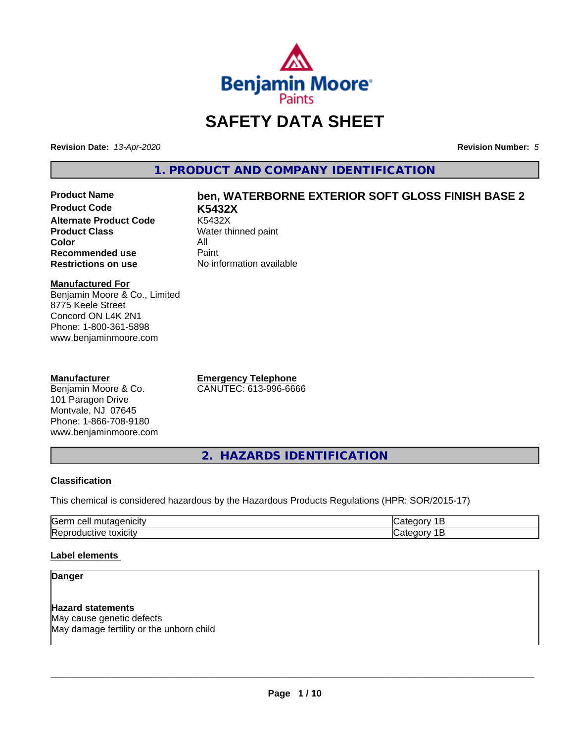

# **SAFETY DATA SHEET**

**Revision Date:** *13-Apr-2020* **Revision Number:** *5*

**1. PRODUCT AND COMPANY IDENTIFICATION**

**Product Code K5432X Alternate Product Code**<br>Product Class **Color** All<br> **Recommended use** Paint **Recommended use**<br>Restrictions on use

# **Product Name ben, WATERBORNE EXTERIOR SOFT GLOSS FINISH BASE 2**

**Water thinned paint No information available** 

#### **Manufactured For**

Benjamin Moore & Co., Limited 8775 Keele Street Concord ON L4K 2N1 Phone: 1-800-361-5898 www.benjaminmoore.com

#### **Manufacturer**

Benjamin Moore & Co. 101 Paragon Drive Montvale, NJ 07645 Phone: 1-866-708-9180 www.benjaminmoore.com **Emergency Telephone** CANUTEC: 613-996-6666

**2. HAZARDS IDENTIFICATION**

#### **Classification**

This chemical is considered hazardous by the Hazardous Products Regulations (HPR: SOR/2015-17)

| <b>Sern</b><br>---<br> |  |
|------------------------|--|
| <b>Re</b><br>.         |  |

#### **Label elements**

#### **Danger**

**Hazard statements** May cause genetic defects May damage fertility or the unborn child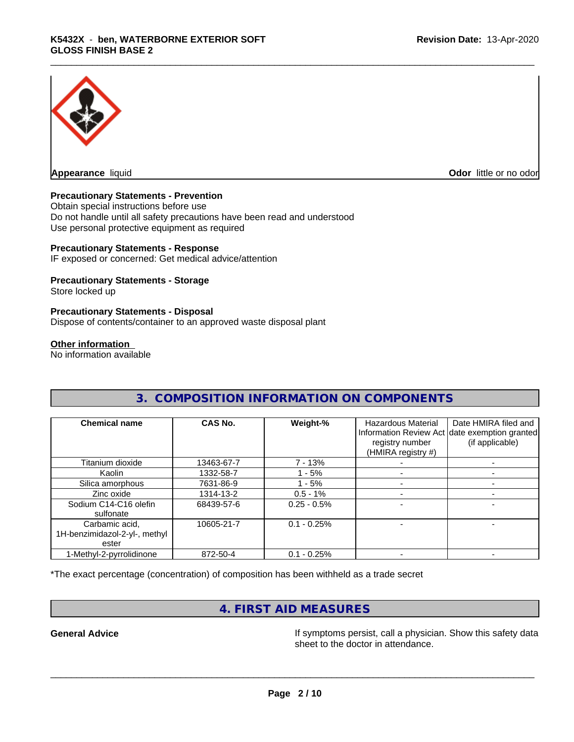

**Appearance** liquid **Odor in the original of the original of the original of the original of the original of the original of the original of the original of the original of the original of the original of the original of t** 

#### **Precautionary Statements - Prevention**

Obtain special instructions before use Do not handle until all safety precautions have been read and understood Use personal protective equipment as required

#### **Precautionary Statements - Response**

IF exposed or concerned: Get medical advice/attention

#### **Precautionary Statements - Storage**

Store locked up

#### **Precautionary Statements - Disposal**

Dispose of contents/container to an approved waste disposal plant

#### **Other information**

No information available

| <b>Chemical name</b>          | CAS No.    | Weight-%      | Hazardous Material<br>registry number<br>(HMIRA registry #) | Date HMIRA filed and<br>Information Review Act date exemption granted<br>(if applicable) |
|-------------------------------|------------|---------------|-------------------------------------------------------------|------------------------------------------------------------------------------------------|
| Titanium dioxide              | 13463-67-7 | 7 - 13%       |                                                             |                                                                                          |
| Kaolin                        | 1332-58-7  | $-5%$         |                                                             |                                                                                          |
| Silica amorphous              | 7631-86-9  | - 5%          |                                                             |                                                                                          |
| Zinc oxide                    | 1314-13-2  | $0.5 - 1%$    |                                                             |                                                                                          |
| Sodium C14-C16 olefin         | 68439-57-6 | $0.25 - 0.5%$ |                                                             |                                                                                          |
| sulfonate                     |            |               |                                                             |                                                                                          |
| Carbamic acid,                | 10605-21-7 | $0.1 - 0.25%$ |                                                             |                                                                                          |
| 1H-benzimidazol-2-yl-, methyl |            |               |                                                             |                                                                                          |
| ester                         |            |               |                                                             |                                                                                          |
| 1-Methyl-2-pyrrolidinone      | 872-50-4   | $0.1 - 0.25%$ |                                                             |                                                                                          |

**3. COMPOSITION INFORMATION ON COMPONENTS**

\*The exact percentage (concentration) of composition has been withheld as a trade secret

# **4. FIRST AID MEASURES**

**General Advice If** symptoms persist, call a physician. Show this safety data sheet to the doctor in attendance.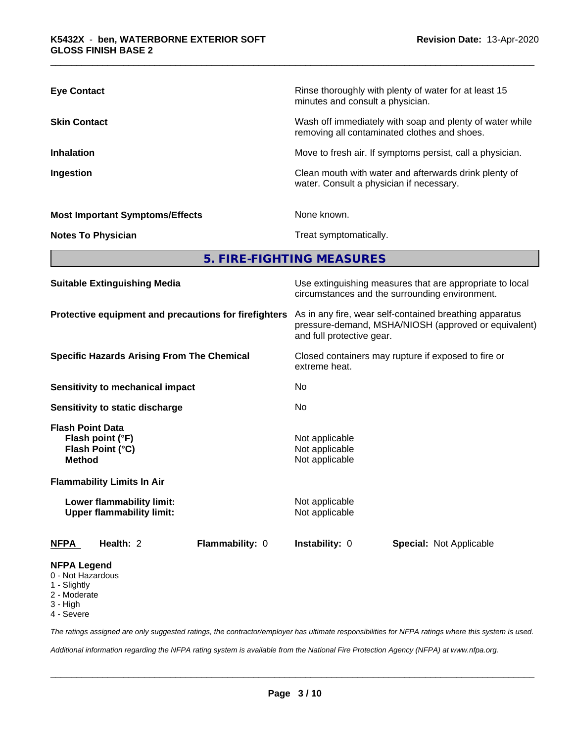| <b>Eye Contact</b>                     | Rinse thoroughly with plenty of water for at least 15<br>minutes and consult a physician.                |
|----------------------------------------|----------------------------------------------------------------------------------------------------------|
| <b>Skin Contact</b>                    | Wash off immediately with soap and plenty of water while<br>removing all contaminated clothes and shoes. |
| <b>Inhalation</b>                      | Move to fresh air. If symptoms persist, call a physician.                                                |
| Ingestion                              | Clean mouth with water and afterwards drink plenty of<br>water. Consult a physician if necessary.        |
| <b>Most Important Symptoms/Effects</b> | None known.                                                                                              |
| <b>Notes To Physician</b>              | Treat symptomatically.                                                                                   |

**5. FIRE-FIGHTING MEASURES**

| <b>Suitable Extinguishing Media</b>                                              | Use extinguishing measures that are appropriate to local<br>circumstances and the surrounding environment.<br>As in any fire, wear self-contained breathing apparatus<br>pressure-demand, MSHA/NIOSH (approved or equivalent)<br>and full protective gear. |  |  |
|----------------------------------------------------------------------------------|------------------------------------------------------------------------------------------------------------------------------------------------------------------------------------------------------------------------------------------------------------|--|--|
| Protective equipment and precautions for firefighters                            |                                                                                                                                                                                                                                                            |  |  |
| <b>Specific Hazards Arising From The Chemical</b>                                | Closed containers may rupture if exposed to fire or<br>extreme heat.<br>No<br>No                                                                                                                                                                           |  |  |
| <b>Sensitivity to mechanical impact</b>                                          |                                                                                                                                                                                                                                                            |  |  |
| Sensitivity to static discharge                                                  |                                                                                                                                                                                                                                                            |  |  |
| <b>Flash Point Data</b><br>Flash point (°F)<br>Flash Point (°C)<br><b>Method</b> | Not applicable<br>Not applicable<br>Not applicable                                                                                                                                                                                                         |  |  |
| <b>Flammability Limits In Air</b>                                                |                                                                                                                                                                                                                                                            |  |  |
| Lower flammability limit:<br><b>Upper flammability limit:</b>                    | Not applicable<br>Not applicable                                                                                                                                                                                                                           |  |  |
| Flammability: 0<br><b>NFPA</b><br>Health: 2                                      | <b>Instability: 0</b><br><b>Special: Not Applicable</b>                                                                                                                                                                                                    |  |  |
| <b>NFPA Legend</b><br>0 - Not Hazardous                                          |                                                                                                                                                                                                                                                            |  |  |

- 1 Slightly
- 2 Moderate
- 3 High
- 4 Severe

*The ratings assigned are only suggested ratings, the contractor/employer has ultimate responsibilities for NFPA ratings where this system is used.*

*Additional information regarding the NFPA rating system is available from the National Fire Protection Agency (NFPA) at www.nfpa.org.*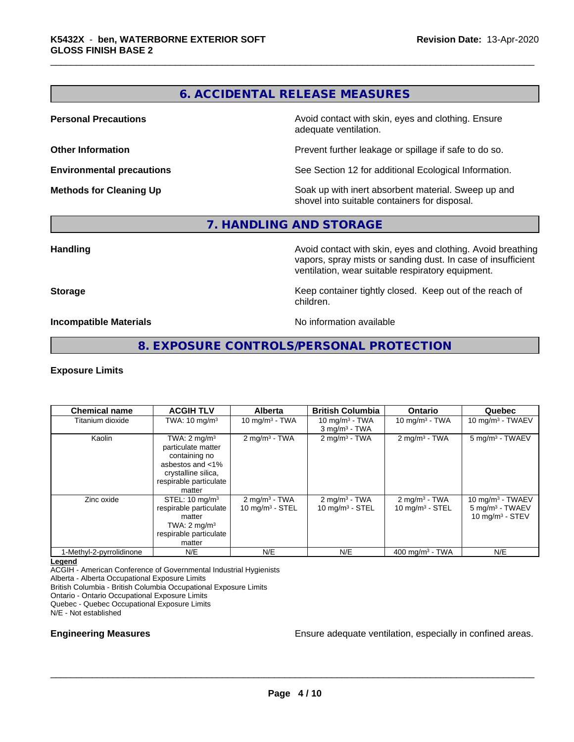# **6. ACCIDENTAL RELEASE MEASURES**

**Personal Precautions Precautions** Avoid contact with skin, eyes and clothing. Ensure adequate ventilation.

**Other Information Other Information Prevent further leakage or spillage if safe to do so.** 

**Environmental precautions** See Section 12 for additional Ecological Information.

**Methods for Cleaning Up Soak** up with inert absorbent material. Sweep up and shovel into suitable containers for disposal.

#### **7. HANDLING AND STORAGE**

**Handling Handling Avoid contact with skin, eyes and clothing. Avoid breathing** vapors, spray mists or sanding dust. In case of insufficient ventilation, wear suitable respiratory equipment.

**Storage Keep container tightly closed. Keep out of the reach of Keep** container tightly closed. Keep out of the reach of children.

**Incompatible Materials** Noinformation available

### **8. EXPOSURE CONTROLS/PERSONAL PROTECTION**

#### **Exposure Limits**

| <b>Chemical name</b>     | <b>ACGIH TLV</b>                                                                                                                              | <b>Alberta</b>                                | <b>British Columbia</b>                          | <b>Ontario</b>                                        | Quebec                                                                 |
|--------------------------|-----------------------------------------------------------------------------------------------------------------------------------------------|-----------------------------------------------|--------------------------------------------------|-------------------------------------------------------|------------------------------------------------------------------------|
| Titanium dioxide         | TWA: $10 \text{ mg/m}^3$                                                                                                                      | 10 mg/m $3 - TWA$                             | 10 mg/m $3$ - TWA<br>$3$ mg/m <sup>3</sup> - TWA | 10 mg/m $3$ - TWA                                     | 10 mg/m $3$ - TWAEV                                                    |
| Kaolin                   | TWA: $2 \text{ mg/m}^3$<br>particulate matter<br>containing no<br>asbestos and <1%<br>crystalline silica,<br>respirable particulate<br>matter | $2$ mg/m <sup>3</sup> - TWA                   | $2$ mg/m <sup>3</sup> - TWA                      | $2 \text{mq/m}^3$ - TWA                               | 5 mg/m <sup>3</sup> - TWAEV                                            |
| Zinc oxide               | STEL: $10 \text{ mg/m}^3$<br>respirable particulate<br>matter<br>TWA: $2 \text{ mg/m}^3$<br>respirable particulate<br>matter                  | $2 \text{ mg/m}^3$ - TWA<br>10 $mq/m3$ - STEL | $2 \text{ mg/m}^3$ - TWA<br>10 mg/m $3 -$ STEL   | $2 \text{mq/m}^3$ - TWA<br>$10 \text{ mg/m}^3$ - STEL | 10 mg/m $3$ - TWAEV<br>$5 \text{ mg/m}^3$ - TWAEV<br>10 $mq/m3$ - STEV |
| 1-Methyl-2-pyrrolidinone | N/E                                                                                                                                           | N/E                                           | N/E                                              | 400 mg/m <sup>3</sup> - TWA                           | N/E                                                                    |

#### **Legend**

ACGIH - American Conference of Governmental Industrial Hygienists

Alberta - Alberta Occupational Exposure Limits

British Columbia - British Columbia Occupational Exposure Limits

Ontario - Ontario Occupational Exposure Limits

Quebec - Quebec Occupational Exposure Limits

N/E - Not established

**Engineering Measures Ensure adequate ventilation, especially in confined areas.**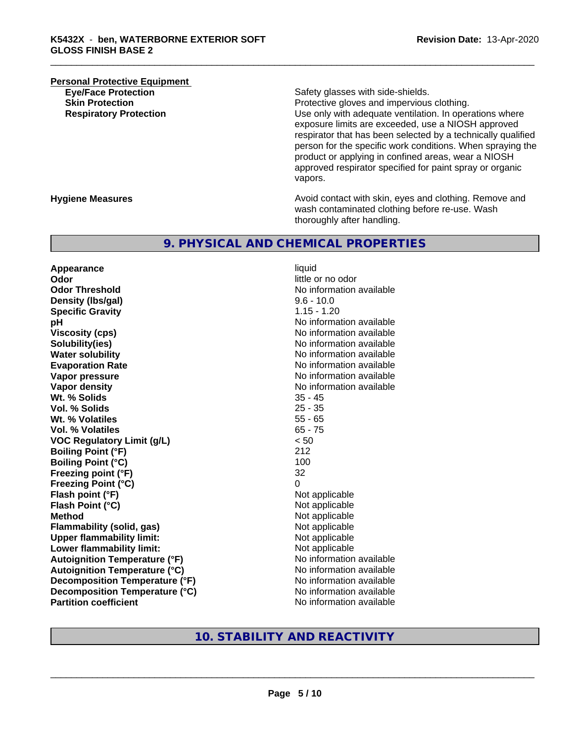# **Personal Protective Equipment**<br> **Eve/Face Protection Eye/Face Protection**<br> **Safety glasses with side-shields.**<br> **Skin Protection**<br> **Skin Protection**

Protective gloves and impervious clothing. **Respiratory Protection Number 1** (Use only with adequate ventilation. In operations where exposure limits are exceeded, use a NIOSH approved respirator that has been selected by a technically qualified person for the specific work conditions. When spraying the product or applying in confined areas, wear a NIOSH approved respirator specified for paint spray or organic vapors.

**Hygiene Measures Avoid contact with skin, eyes and clothing. Remove and Avoid contact with skin, eyes and clothing. Remove and Avoid contact with skin, eyes and clothing. Remove and** wash contaminated clothing before re-use. Wash thoroughly after handling.

#### **9. PHYSICAL AND CHEMICAL PROPERTIES**

**Appearance** liquid **Odor** little or no odor **Odor Threshold** No information available **Density (lbs/gal)** 9.6 - 10.0 **Specific Gravity** 1.15 - 1.20 **pH pH**  $\blacksquare$ **Viscosity (cps)** No information available **Solubility(ies)** No information available **Water solubility** No information available **Evaporation Rate No information available No information available Vapor pressure** No information available **No information available Vapor density No information available No information available Wt.** % Solids 35 - 45 **Vol. % Solids** 25 - 35 **Wt. % Volatiles** 55 - 65 **Vol. % Volatiles VOC Regulatory Limit (g/L)** < 50 **Boiling Point (°F)** 212 **Boiling Point (°C)** 100 **Freezing point (°F)** 32 **Freezing Point (°C)** 0 **Flash point (°F)**<br> **Flash Point (°C)**<br> **Flash Point (°C)**<br> **C Flash Point (°C) Method** Not applicable **Flammability (solid, gas)**<br> **Commability limit:**<br>
Upper flammability limit:<br>
Not applicable **Upper flammability limit:**<br> **Lower flammability limit:** Not applicable Not applicable **Lower flammability limit: Autoignition Temperature (°F)** No information available **Autoignition Temperature (°C)** No information available **Decomposition Temperature (°F)** No information available **Decomposition Temperature (°C)**<br> **Partition coefficient**<br> **Partition coefficient**<br> **No** information available

**No information available** 

## **10. STABILITY AND REACTIVITY**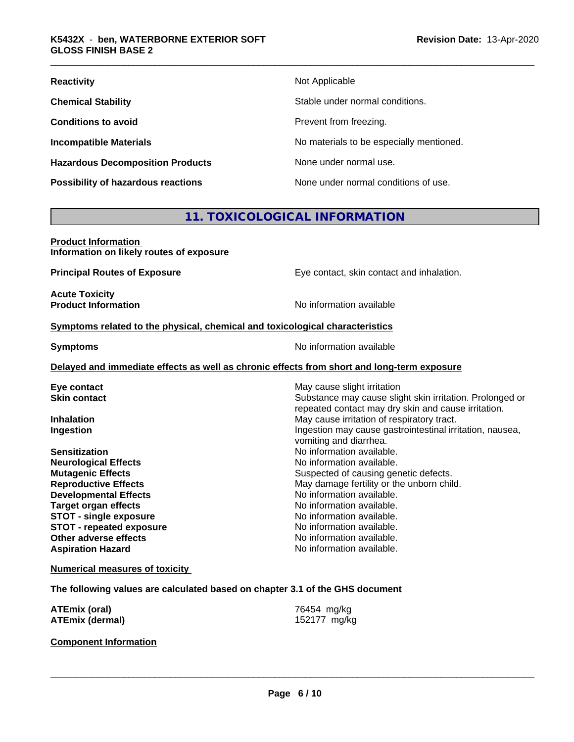| <b>Reactivity</b>                         | Not Applicable                           |
|-------------------------------------------|------------------------------------------|
| <b>Chemical Stability</b>                 | Stable under normal conditions.          |
| <b>Conditions to avoid</b>                | Prevent from freezing.                   |
| <b>Incompatible Materials</b>             | No materials to be especially mentioned. |
| <b>Hazardous Decomposition Products</b>   | None under normal use.                   |
| <b>Possibility of hazardous reactions</b> | None under normal conditions of use.     |

# **11. TOXICOLOGICAL INFORMATION**

| <b>Product Information</b>               |  |
|------------------------------------------|--|
| Information on likely routes of exposure |  |

**Principal Routes of Exposure Exposure** Eye contact, skin contact and inhalation.

**Acute Toxicity** 

**Product Information** 

#### **Symptoms** related to the physical, chemical and toxicological characteristics

**Symptoms** No information available

#### **Delayed and immediate effects as well as chronic effects from short and long-term exposure**

| Eye contact                     | May cause slight irritation                                                                                     |
|---------------------------------|-----------------------------------------------------------------------------------------------------------------|
| <b>Skin contact</b>             | Substance may cause slight skin irritation. Prolonged or<br>repeated contact may dry skin and cause irritation. |
| <b>Inhalation</b>               | May cause irritation of respiratory tract.                                                                      |
| Ingestion                       | Ingestion may cause gastrointestinal irritation, nausea,<br>vomiting and diarrhea.                              |
| <b>Sensitization</b>            | No information available.                                                                                       |
| <b>Neurological Effects</b>     | No information available.                                                                                       |
| <b>Mutagenic Effects</b>        | Suspected of causing genetic defects.                                                                           |
| <b>Reproductive Effects</b>     | May damage fertility or the unborn child.                                                                       |
| <b>Developmental Effects</b>    | No information available.                                                                                       |
| <b>Target organ effects</b>     | No information available.                                                                                       |
| <b>STOT - single exposure</b>   | No information available.                                                                                       |
| <b>STOT - repeated exposure</b> | No information available.                                                                                       |
| Other adverse effects           | No information available.                                                                                       |
| <b>Aspiration Hazard</b>        | No information available.                                                                                       |
|                                 |                                                                                                                 |

#### **Numerical measures of toxicity**

**The following values are calculated based on chapter 3.1 of the GHS document**

| <b>ATEmix (oral)</b>   | 76454 mg/kg  |
|------------------------|--------------|
| <b>ATEmix (dermal)</b> | 152177 mg/kg |

**Component Information**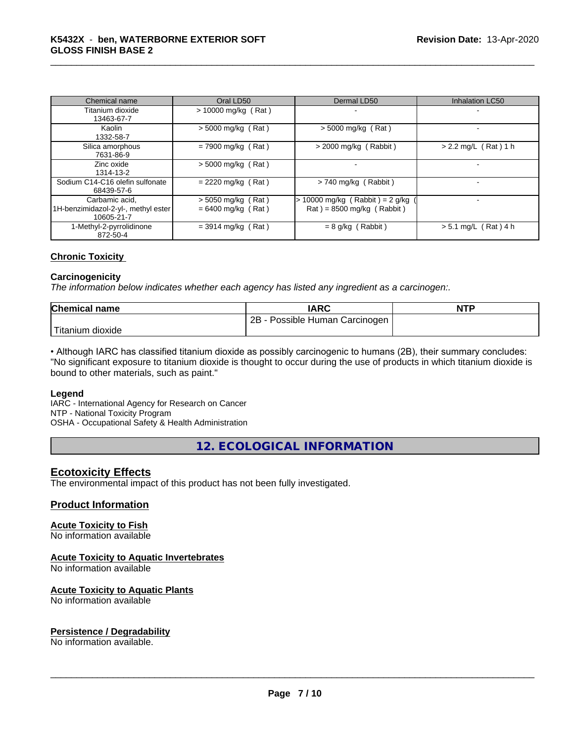| Chemical name                                                       | Oral LD50                                    | Dermal LD50                                                                              | Inhalation LC50        |
|---------------------------------------------------------------------|----------------------------------------------|------------------------------------------------------------------------------------------|------------------------|
| Titanium dioxide<br>13463-67-7                                      | $> 10000$ mg/kg (Rat)                        |                                                                                          |                        |
| Kaolin<br>1332-58-7                                                 | $> 5000$ mg/kg (Rat)                         | $>$ 5000 mg/kg (Rat)                                                                     |                        |
| Silica amorphous<br>7631-86-9                                       | $= 7900$ mg/kg (Rat)                         | $>$ 2000 mg/kg (Rabbit)                                                                  | $> 2.2$ mg/L (Rat) 1 h |
| Zinc oxide<br>1314-13-2                                             | $>$ 5000 mg/kg (Rat)                         |                                                                                          |                        |
| Sodium C14-C16 olefin sulfonate<br>68439-57-6                       | $= 2220$ mg/kg (Rat)                         | $> 740$ mg/kg (Rabbit)                                                                   |                        |
| Carbamic acid.<br>1H-benzimidazol-2-yl-, methyl ester<br>10605-21-7 | $> 5050$ mg/kg (Rat)<br>$= 6400$ mg/kg (Rat) | $\cdot$ 10000 mg/kg (Rabbit) = 2 g/kg<br>$\text{Rat}$ ) = 8500 mg/kg ( $\text{Rabbit}$ ) |                        |
| 1-Methyl-2-pyrrolidinone<br>872-50-4                                | $= 3914$ mg/kg (Rat)                         | $= 8$ g/kg (Rabbit)                                                                      | $> 5.1$ mg/L (Rat) 4 h |

#### **Chronic Toxicity**

#### **Carcinogenicity**

*The information below indicateswhether each agency has listed any ingredient as a carcinogen:.*

| <b>Chemical name</b>    | <b>IARC</b>                     | <b>NTP</b> |
|-------------------------|---------------------------------|------------|
|                         | 2B<br>Possible Human Carcinogen |            |
| Titanium 、<br>ı dioxide |                                 |            |

• Although IARC has classified titanium dioxide as possibly carcinogenic to humans (2B), their summary concludes: "No significant exposure to titanium dioxide is thought to occur during the use of products in which titanium dioxide is bound to other materials, such as paint."

#### **Legend**

IARC - International Agency for Research on Cancer NTP - National Toxicity Program

OSHA - Occupational Safety & Health Administration

**12. ECOLOGICAL INFORMATION**

#### **Ecotoxicity Effects**

The environmental impact of this product has not been fully investigated.

#### **Product Information**

#### **Acute Toxicity to Fish**

No information available

#### **Acute Toxicity to Aquatic Invertebrates**

No information available

#### **Acute Toxicity to Aquatic Plants**

No information available

#### **Persistence / Degradability**

No information available.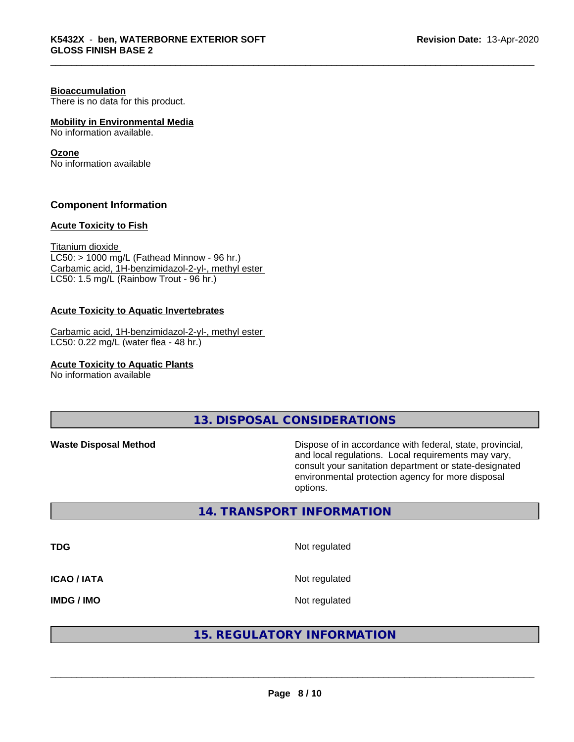#### **Bioaccumulation**

There is no data for this product.

### **Mobility in Environmental Media**

No information available.

#### **Ozone**

No information available

#### **Component Information**

#### **Acute Toxicity to Fish**

Titanium dioxide  $LC50:$  > 1000 mg/L (Fathead Minnow - 96 hr.) Carbamic acid, 1H-benzimidazol-2-yl-, methyl ester LC50: 1.5 mg/L (Rainbow Trout - 96 hr.)

#### **Acute Toxicity to Aquatic Invertebrates**

Carbamic acid, 1H-benzimidazol-2-yl-, methyl ester LC50: 0.22 mg/L (water flea - 48 hr.)

**Acute Toxicity to Aquatic Plants**

No information available

**13. DISPOSAL CONSIDERATIONS**

**Waste Disposal Method Dispose of in accordance with federal, state, provincial,** and local regulations. Local requirements may vary, consult your sanitation department or state-designated environmental protection agency for more disposal options.

#### **14. TRANSPORT INFORMATION**

**TDG** Not regulated **ICAO / IATA** Not regulated

**IMDG / IMO** Not regulated

### **15. REGULATORY INFORMATION**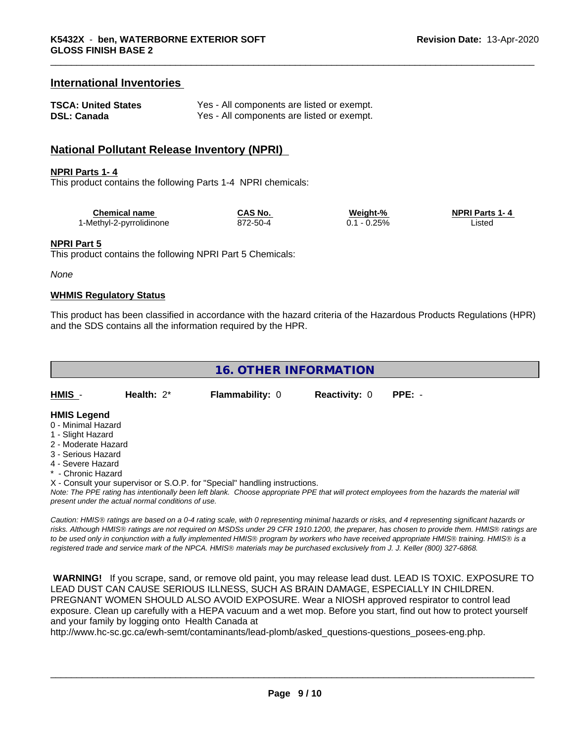#### **International Inventories**

| <b>TSCA: United States</b> | Yes - All components are listed or exempt. |
|----------------------------|--------------------------------------------|
| <b>DSL: Canada</b>         | Yes - All components are listed or exempt. |

#### **National Pollutant Release Inventory (NPRI)**

#### **NPRI Parts 1- 4**

This product contains the following Parts 1-4 NPRI chemicals:

| Chemical name            | <b>CAS No.</b> | Weight-% | <b>NPRI Parts 1-4</b> |
|--------------------------|----------------|----------|-----------------------|
| 1-Methyl-2-pyrrolidinone | 872-50-4       | 0.25%    | ∟ıstec                |

#### **NPRI Part 5**

This product contains the following NPRI Part 5 Chemicals:

*None*

#### **WHMIS Regulatory Status**

This product has been classified in accordance with the hazard criteria of the Hazardous Products Regulations (HPR) and the SDS contains all the information required by the HPR.

| 16. OTHER INFORMATION |               |                        |                             |  |  |  |
|-----------------------|---------------|------------------------|-----------------------------|--|--|--|
| $HMIS -$              | Health: $2^*$ | <b>Flammability: 0</b> | <b>Reactivity: 0 PPE: -</b> |  |  |  |

#### **HMIS Legend**

- 0 Minimal Hazard
- 1 Slight Hazard
- 2 Moderate Hazard
- 3 Serious Hazard
- 4 Severe Hazard
- \* Chronic Hazard

X - Consult your supervisor or S.O.P. for "Special" handling instructions.

*Note: The PPE rating has intentionally been left blank. Choose appropriate PPE that will protect employees from the hazards the material will present under the actual normal conditions of use.*

*Caution: HMISÒ ratings are based on a 0-4 rating scale, with 0 representing minimal hazards or risks, and 4 representing significant hazards or risks. Although HMISÒ ratings are not required on MSDSs under 29 CFR 1910.1200, the preparer, has chosen to provide them. HMISÒ ratings are to be used only in conjunction with a fully implemented HMISÒ program by workers who have received appropriate HMISÒ training. HMISÒ is a registered trade and service mark of the NPCA. HMISÒ materials may be purchased exclusively from J. J. Keller (800) 327-6868.*

 **WARNING!** If you scrape, sand, or remove old paint, you may release lead dust. LEAD IS TOXIC. EXPOSURE TO LEAD DUST CAN CAUSE SERIOUS ILLNESS, SUCH AS BRAIN DAMAGE, ESPECIALLY IN CHILDREN. PREGNANT WOMEN SHOULD ALSO AVOID EXPOSURE.Wear a NIOSH approved respirator to control lead exposure. Clean up carefully with a HEPA vacuum and a wet mop. Before you start, find out how to protect yourself and your family by logging onto Health Canada at

http://www.hc-sc.gc.ca/ewh-semt/contaminants/lead-plomb/asked\_questions-questions\_posees-eng.php.